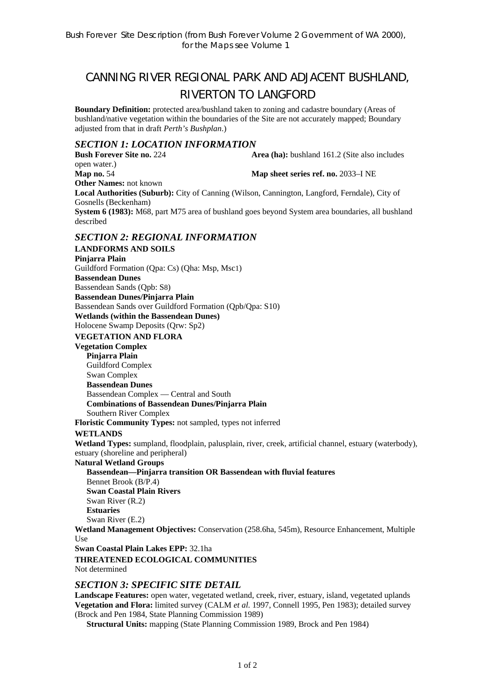# CANNING RIVER REGIONAL PARK AND ADJACENT BUSHLAND, RIVERTON TO LANGFORD

**Boundary Definition:** protected area/bushland taken to zoning and cadastre boundary (Areas of bushland/native vegetation within the boundaries of the Site are not accurately mapped; Boundary adjusted from that in draft *Perth's Bushplan*.)

## *SECTION 1: LOCATION INFORMATION*

**Bush Forever Site no. 224 Area (ha):** bushland 161.2 (Site also includes open water.) **Map no.** 54 **Map sheet series ref. no.** 2033–I NE **Other Names:** not known **Local Authorities (Suburb):** City of Canning (Wilson, Cannington, Langford, Ferndale), City of Gosnells (Beckenham) **System 6 (1983):** M68, part M75 area of bushland goes beyond System area boundaries, all bushland described

## *SECTION 2: REGIONAL INFORMATION*

**LANDFORMS AND SOILS Pinjarra Plain**  Guildford Formation (Qpa: Cs) (Qha: Msp, Msc1) **Bassendean Dunes**  Bassendean Sands (Qpb: S8) **Bassendean Dunes/Pinjarra Plain**  Bassendean Sands over Guildford Formation (Qpb/Qpa: S10) **Wetlands (within the Bassendean Dunes)**  Holocene Swamp Deposits (Qrw: Sp2) **VEGETATION AND FLORA Vegetation Complex Pinjarra Plain**  Guildford Complex Swan Complex **Bassendean Dunes**  Bassendean Complex — Central and South **Combinations of Bassendean Dunes/Pinjarra Plain**  Southern River Complex **Floristic Community Types:** not sampled, types not inferred **WETLANDS Wetland Types:** sumpland, floodplain, palusplain, river, creek, artificial channel, estuary (waterbody), estuary (shoreline and peripheral) **Natural Wetland Groups Bassendean—Pinjarra transition OR Bassendean with fluvial features**  Bennet Brook (B/P.4) **Swan Coastal Plain Rivers**  Swan River (R.2) **Estuaries**  Swan River (E.2) **Wetland Management Objectives:** Conservation (258.6ha, 545m), Resource Enhancement, Multiple Use **Swan Coastal Plain Lakes EPP:** 32.1ha **THREATENED ECOLOGICAL COMMUNITIES** 

Not determined

#### *SECTION 3: SPECIFIC SITE DETAIL*

**Landscape Features:** open water, vegetated wetland, creek, river, estuary, island, vegetated uplands **Vegetation and Flora:** limited survey (CALM *et al.* 1997, Connell 1995, Pen 1983); detailed survey (Brock and Pen 1984, State Planning Commission 1989)

**Structural Units:** mapping (State Planning Commission 1989, Brock and Pen 1984)